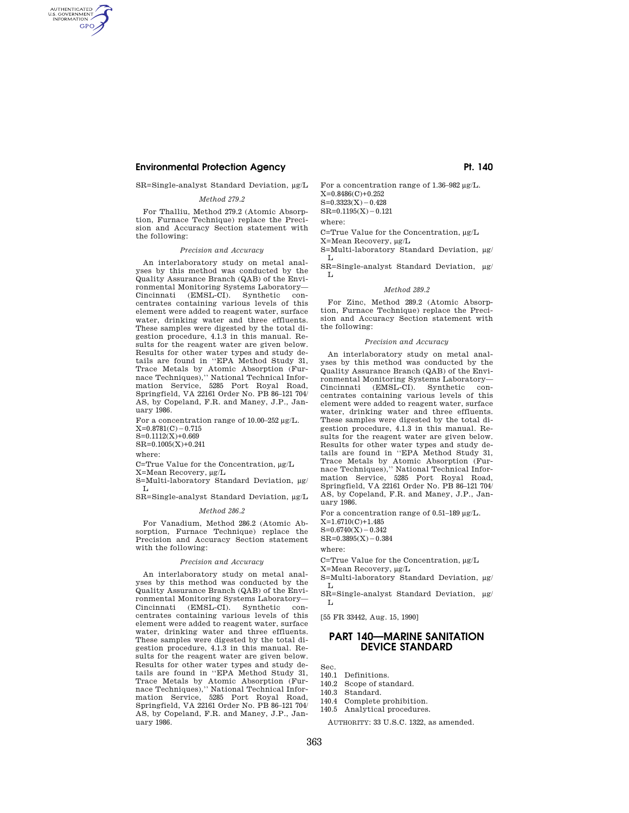# **Environmental Protection Agency Pt. 140**

SR=Single-analyst Standard Deviation, μg/L

### *Method 279.2*

For Thalliu, Method 279.2 (Atomic Absorption, Furnace Technique) replace the Precision and Accuracy Section statement with the following:

#### *Precision and Accuracy*

An interlaboratory study on metal analyses by this method was conducted by the Quality Assurance Branch (QAB) of the Environmental Monitoring Systems Laboratory— Cincinnati (EMSL-CI). Synthetic concentrates containing various levels of this element were added to reagent water, surface water, drinking water and three effluents. These samples were digested by the total digestion procedure, 4.1.3 in this manual. Results for the reagent water are given below. Results for other water types and study details are found in ''EPA Method Study 31, Trace Metals by Atomic Absorption (Furnace Techniques),'' National Technical Information Service, 5285 Port Royal Road, Springfield, VA 22161 Order No. PB 86–121 704/ AS, by Copeland, F.R. and Maney, J.P., January 1986.

For a concentration range of 10.00–252 μg/L.  $X=0.8781(C) - 0.715$ S=0.1112(X)+0.669

SR=0.1005(X)+0.241

where:

AUTHENTICATED<br>U.S. GOVERNMENT<br>INFORMATION **GPO** 

C=True Value for the Concentration, μg/L

X=Mean Recovery, μg/L

S=Multi-laboratory Standard Deviation, μg/ L

SR=Single-analyst Standard Deviation, μg/L

### *Method 286.2*

For Vanadium, Method 286.2 (Atomic Absorption, Furnace Technique) replace the Precision and Accuracy Section statement with the following:

#### *Precision and Accuracy*

An interlaboratory study on metal analyses by this method was conducted by the Quality Assurance Branch (QAB) of the Environmental Monitoring Systems Laboratory— Cincinnati (EMSL-CI). Synthetic concentrates containing various levels of this element were added to reagent water, surface water, drinking water and three effluents. These samples were digested by the total digestion procedure, 4.1.3 in this manual. Results for the reagent water are given below. Results for other water types and study details are found in ''EPA Method Study 31, Trace Metals by Atomic Absorption (Furnace Techniques),'' National Technical Information Service, 5285 Port Royal Road, Springfield, VA 22161 Order No. PB 86–121 704/ AS, by Copeland, F.R. and Maney, J.P., January 1986.

For a concentration range of 1.36–982 μg/L.  $X=0.8486(C)+0.252$  $S=0.3323(X)-0.428$  $SR=0.1195(X)-0.121$ where:

C=True Value for the Concentration, μg/L X=Mean Recovery, μg/L

S=Multi-laboratory Standard Deviation, μg/

 $L$ SR=Single-analyst Standard Deviation, μg/

 $L$ 

## *Method 289.2*

For Zinc, Method 289.2 (Atomic Absorption, Furnace Technique) replace the Precision and Accuracy Section statement with the following:

#### *Precision and Accuracy*

An interlaboratory study on metal analyses by this method was conducted by the Quality Assurance Branch (QAB) of the Environmental Monitoring Systems Laboratory— Cincinnati (EMSL-CI). Synthetic concentrates containing various levels of this element were added to reagent water, surface water, drinking water and three effluents. These samples were digested by the total digestion procedure, 4.1.3 in this manual. Results for the reagent water are given below. Results for other water types and study details are found in ''EPA Method Study 31, Trace Metals by Atomic Absorption (Furnace Techniques),'' National Technical Information Service, 5285 Port Royal Road, Springfield, VA 22161 Order No. PB 86–121 704/ AS, by Copeland, F.R. and Maney, J.P., January 1986.

For a concentration range of 0.51–189 μg/L.

 $X=1.6710(C)+1.485$ 

 $S=0.6740(X)-0.342$ 

 $SR=0.3895(X)-0.384$ 

where:

C=True Value for the Concentration, μg/L X=Mean Recovery, μg/L

S=Multi-laboratory Standard Deviation, μg/  $\mathbf{L}$ 

SR=Single-analyst Standard Deviation, μg/  $T_{\perp}$ 

[55 FR 33442, Aug. 15, 1990]

# **PART 140—MARINE SANITATION DEVICE STANDARD**

Sec.

- 140.1 Definitions.
- 140.2 Scope of standard. 140.3 Standard.
- 
- 140.4 Complete prohibition.

140.5 Analytical procedures.

AUTHORITY: 33 U.S.C. 1322, as amended.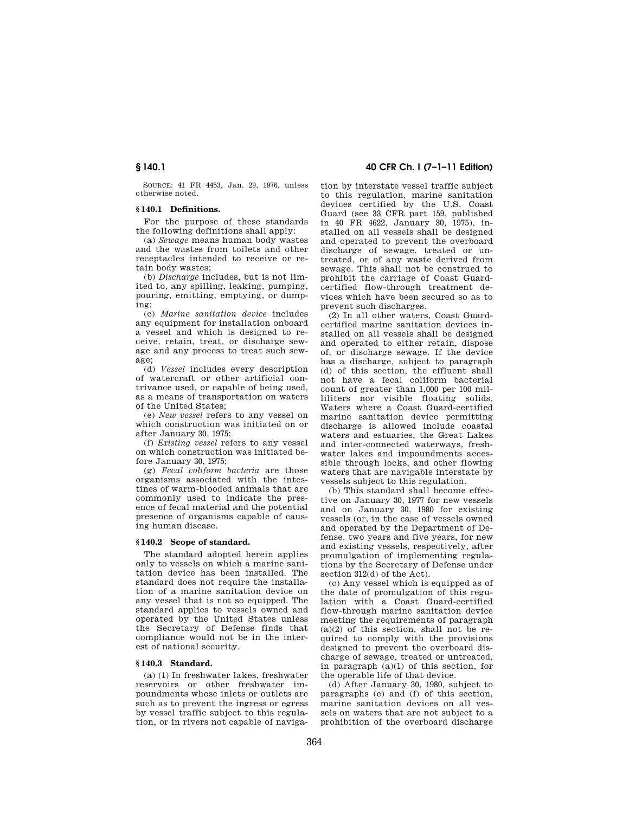SOURCE: 41 FR 4453, Jan. 29, 1976, unless otherwise noted.

## **§ 140.1 Definitions.**

For the purpose of these standards the following definitions shall apply:

(a) *Sewage* means human body wastes and the wastes from toilets and other receptacles intended to receive or retain body wastes;

(b) *Discharge* includes, but is not limited to, any spilling, leaking, pumping, pouring, emitting, emptying, or dump $inv$ 

(c) *Marine sanitation device* includes any equipment for installation onboard a vessel and which is designed to receive, retain, treat, or discharge sewage and any process to treat such sewage;

(d) *Vessel* includes every description of watercraft or other artificial contrivance used, or capable of being used, as a means of transportation on waters of the United States;

(e) *New vessel* refers to any vessel on which construction was initiated on or after January 30, 1975;

(f) *Existing vessel* refers to any vessel on which construction was initiated before January 30, 1975;

(g) *Fecal coliform bacteria* are those organisms associated with the intestines of warm-blooded animals that are commonly used to indicate the presence of fecal material and the potential presence of organisms capable of causing human disease.

## **§ 140.2 Scope of standard.**

The standard adopted herein applies only to vessels on which a marine sanitation device has been installed. The standard does not require the installation of a marine sanitation device on any vessel that is not so equipped. The standard applies to vessels owned and operated by the United States unless the Secretary of Defense finds that compliance would not be in the interest of national security.

### **§ 140.3 Standard.**

(a) (1) In freshwater lakes, freshwater reservoirs or other freshwater impoundments whose inlets or outlets are such as to prevent the ingress or egress by vessel traffic subject to this regulation, or in rivers not capable of naviga-

**§ 140.1 40 CFR Ch. I (7–1–11 Edition)** 

tion by interstate vessel traffic subject to this regulation, marine sanitation devices certified by the U.S. Coast Guard (see 33 CFR part 159, published in 40 FR 4622, January 30, 1975), installed on all vessels shall be designed and operated to prevent the overboard discharge of sewage, treated or untreated, or of any waste derived from sewage. This shall not be construed to prohibit the carriage of Coast Guardcertified flow-through treatment devices which have been secured so as to prevent such discharges.

(2) In all other waters, Coast Guardcertified marine sanitation devices installed on all vessels shall be designed and operated to either retain, dispose of, or discharge sewage. If the device has a discharge, subject to paragraph (d) of this section, the effluent shall not have a fecal coliform bacterial count of greater than 1,000 per 100 milliliters nor visible floating solids. Waters where a Coast Guard-certified marine sanitation device permitting discharge is allowed include coastal waters and estuaries, the Great Lakes and inter-connected waterways, freshwater lakes and impoundments accessible through locks, and other flowing waters that are navigable interstate by vessels subject to this regulation.

(b) This standard shall become effective on January 30, 1977 for new vessels and on January 30, 1980 for existing vessels (or, in the case of vessels owned and operated by the Department of Defense, two years and five years, for new and existing vessels, respectively, after promulgation of implementing regulations by the Secretary of Defense under section 312(d) of the Act).

(c) Any vessel which is equipped as of the date of promulgation of this regulation with a Coast Guard-certified flow-through marine sanitation device meeting the requirements of paragraph  $(a)(2)$  of this section, shall not be required to comply with the provisions designed to prevent the overboard discharge of sewage, treated or untreated, in paragraph  $(a)(1)$  of this section, for the operable life of that device.

(d) After January 30, 1980, subject to paragraphs (e) and (f) of this section, marine sanitation devices on all vessels on waters that are not subject to a prohibition of the overboard discharge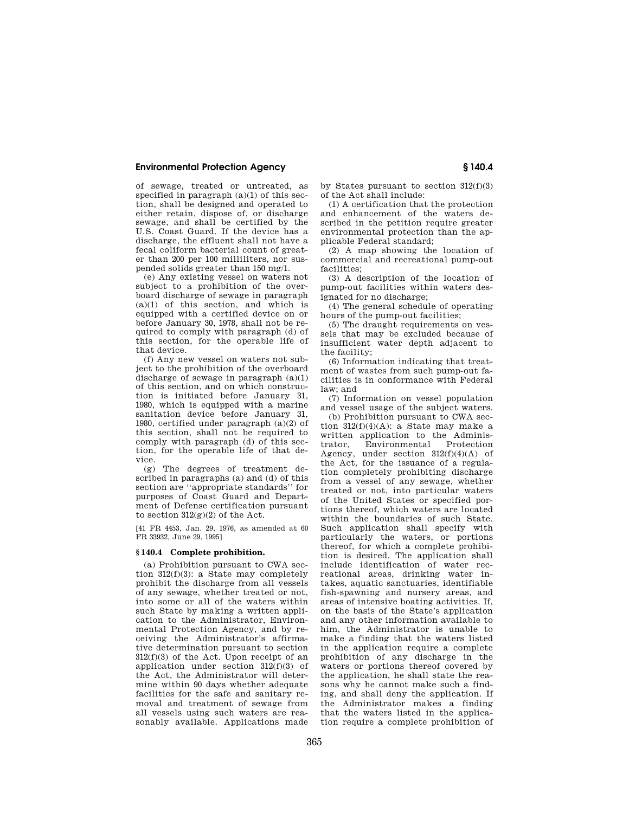# **Environmental Protection Agency § 140.4**

of sewage, treated or untreated, as specified in paragraph  $(a)(1)$  of this section, shall be designed and operated to either retain, dispose of, or discharge sewage, and shall be certified by the U.S. Coast Guard. If the device has a discharge, the effluent shall not have a fecal coliform bacterial count of greater than 200 per 100 milliliters, nor suspended solids greater than 150 mg/1.

(e) Any existing vessel on waters not subject to a prohibition of the overboard discharge of sewage in paragraph (a)(1) of this section, and which is equipped with a certified device on or before January 30, 1978, shall not be required to comply with paragraph (d) of this section, for the operable life of that device.

(f) Any new vessel on waters not subject to the prohibition of the overboard discharge of sewage in paragraph (a)(1) of this section, and on which construction is initiated before January 31, 1980, which is equipped with a marine sanitation device before January 31, 1980, certified under paragraph (a)(2) of this section, shall not be required to comply with paragraph (d) of this section, for the operable life of that device.

(g) The degrees of treatment described in paragraphs (a) and (d) of this section are ''appropriate standards'' for purposes of Coast Guard and Department of Defense certification pursuant to section  $312(g)(2)$  of the Act.

[41 FR 4453, Jan. 29, 1976, as amended at 60 FR 33932, June 29, 1995]

## **§ 140.4 Complete prohibition.**

(a) Prohibition pursuant to CWA section 312(f)(3): a State may completely prohibit the discharge from all vessels of any sewage, whether treated or not, into some or all of the waters within such State by making a written application to the Administrator, Environmental Protection Agency, and by receiving the Administrator's affirmative determination pursuant to section  $312(f)(3)$  of the Act. Upon receipt of an application under section 312(f)(3) of the Act, the Administrator will determine within 90 days whether adequate facilities for the safe and sanitary removal and treatment of sewage from all vessels using such waters are reasonably available. Applications made

by States pursuant to section 312(f)(3) of the Act shall include:

(1) A certification that the protection and enhancement of the waters described in the petition require greater environmental protection than the applicable Federal standard;

(2) A map showing the location of commercial and recreational pump-out facilities;

(3) A description of the location of pump-out facilities within waters designated for no discharge;

(4) The general schedule of operating hours of the pump-out facilities;

(5) The draught requirements on vessels that may be excluded because of insufficient water depth adjacent to the facility;

(6) Information indicating that treatment of wastes from such pump-out facilities is in conformance with Federal law; and

(7) Information on vessel population and vessel usage of the subject waters.

(b) Prohibition pursuant to CWA section 312(f)(4)(A): a State may make a written application to the Adminis-<br>trator Environmental Protection Environmental Protection Agency, under section  $312(f)(4)(A)$  of the Act, for the issuance of a regulation completely prohibiting discharge from a vessel of any sewage, whether treated or not, into particular waters of the United States or specified portions thereof, which waters are located within the boundaries of such State. Such application shall specify with particularly the waters, or portions thereof, for which a complete prohibition is desired. The application shall include identification of water recreational areas, drinking water intakes, aquatic sanctuaries, identifiable fish-spawning and nursery areas, and areas of intensive boating activities. If, on the basis of the State's application and any other information available to him, the Administrator is unable to make a finding that the waters listed in the application require a complete prohibition of any discharge in the waters or portions thereof covered by the application, he shall state the reasons why he cannot make such a finding, and shall deny the application. If the Administrator makes a finding that the waters listed in the application require a complete prohibition of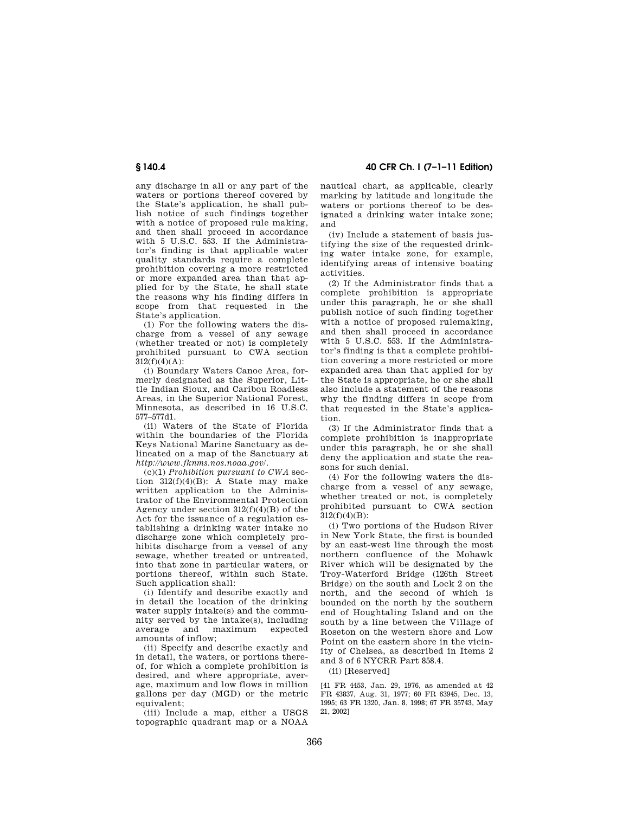# **§ 140.4 40 CFR Ch. I (7–1–11 Edition)**

any discharge in all or any part of the waters or portions thereof covered by the State's application, he shall publish notice of such findings together with a notice of proposed rule making, and then shall proceed in accordance with 5 U.S.C. 553. If the Administrator's finding is that applicable water quality standards require a complete prohibition covering a more restricted or more expanded area than that applied for by the State, he shall state the reasons why his finding differs in scope from that requested in the State's application.

(1) For the following waters the discharge from a vessel of any sewage (whether treated or not) is completely prohibited pursuant to CWA section  $312(f)(4)(A)$ 

(i) Boundary Waters Canoe Area, formerly designated as the Superior, Little Indian Sioux, and Caribou Roadless Areas, in the Superior National Forest, Minnesota, as described in 16 U.S.C. 577–577d1.

(ii) Waters of the State of Florida within the boundaries of the Florida Keys National Marine Sanctuary as delineated on a map of the Sanctuary at *http://www.fknms.nos.noaa.gov*/.

(c)(1) *Prohibition pursuant to CWA* section 312(f)(4)(B): A State may make written application to the Administrator of the Environmental Protection Agency under section  $312(f)(4)(B)$  of the Act for the issuance of a regulation establishing a drinking water intake no discharge zone which completely prohibits discharge from a vessel of any sewage, whether treated or untreated, into that zone in particular waters, or portions thereof, within such State. Such application shall:

(i) Identify and describe exactly and in detail the location of the drinking water supply intake(s) and the community served by the intake(s), including<br>average and maximum expected maximum expected amounts of inflow;

(ii) Specify and describe exactly and in detail, the waters, or portions thereof, for which a complete prohibition is desired, and where appropriate, average, maximum and low flows in million gallons per day (MGD) or the metric equivalent;

(iii) Include a map, either a USGS topographic quadrant map or a NOAA nautical chart, as applicable, clearly marking by latitude and longitude the waters or portions thereof to be designated a drinking water intake zone; and

(iv) Include a statement of basis justifying the size of the requested drinking water intake zone, for example, identifying areas of intensive boating activities.

(2) If the Administrator finds that a complete prohibition is appropriate under this paragraph, he or she shall publish notice of such finding together with a notice of proposed rulemaking, and then shall proceed in accordance with 5 U.S.C. 553. If the Administrator's finding is that a complete prohibition covering a more restricted or more expanded area than that applied for by the State is appropriate, he or she shall also include a statement of the reasons why the finding differs in scope from that requested in the State's application.

(3) If the Administrator finds that a complete prohibition is inappropriate under this paragraph, he or she shall deny the application and state the reasons for such denial.

(4) For the following waters the discharge from a vessel of any sewage, whether treated or not, is completely prohibited pursuant to CWA section  $312(f)(4)(B)$ :

(i) Two portions of the Hudson River in New York State, the first is bounded by an east-west line through the most northern confluence of the Mohawk River which will be designated by the Troy-Waterford Bridge (126th Street Bridge) on the south and Lock 2 on the north, and the second of which is bounded on the north by the southern end of Houghtaling Island and on the south by a line between the Village of Roseton on the western shore and Low Point on the eastern shore in the vicinity of Chelsea, as described in Items 2 and 3 of 6 NYCRR Part 858.4.

(ii) [Reserved]

[41 FR 4453, Jan. 29, 1976, as amended at 42 FR 43837, Aug. 31, 1977; 60 FR 63945, Dec. 13, 1995; 63 FR 1320, Jan. 8, 1998; 67 FR 35743, May 21, 2002]